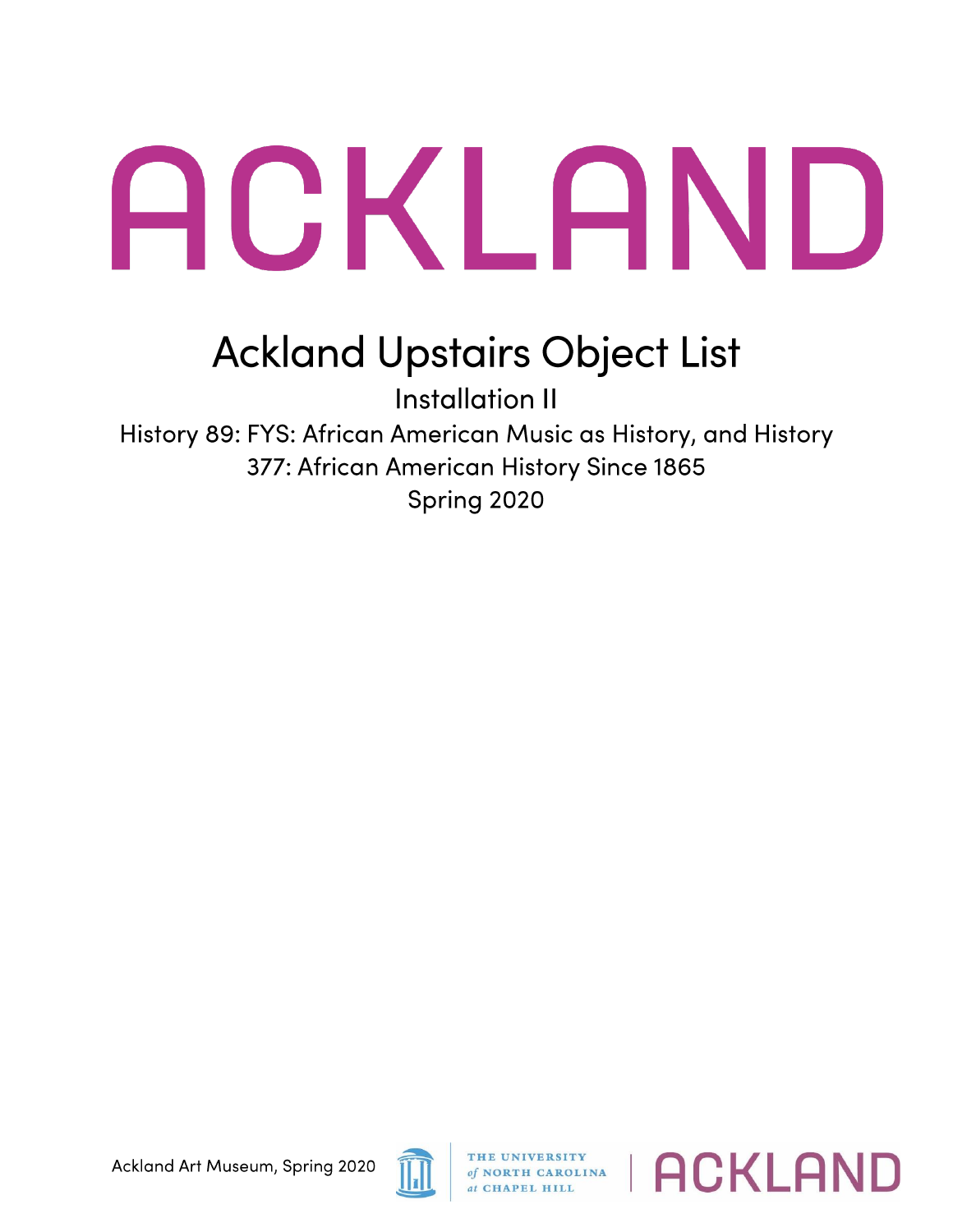## ACKLAND

## **Ackland Upstairs Object List**

Installation II History 89: FYS: African American Music as History, and History 377: African American History Since 1865 Spring 2020